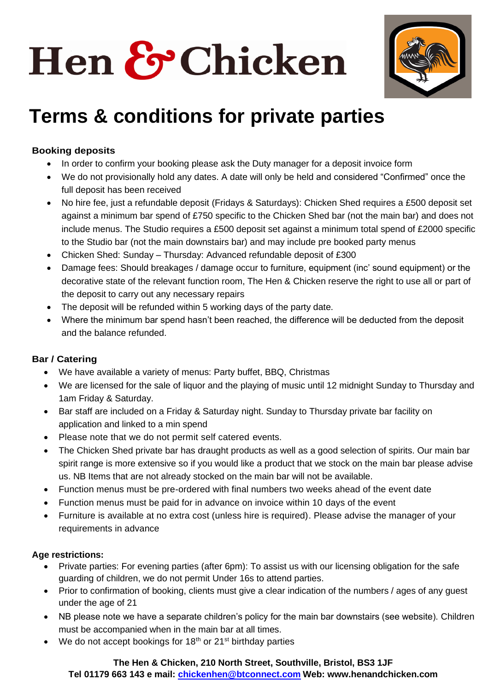# Hen & Chicken



### **Terms & conditions for private parties**

### **Booking deposits**

- In order to confirm your booking please ask the Duty manager for a deposit invoice form
- We do not provisionally hold any dates. A date will only be held and considered "Confirmed" once the full deposit has been received
- No hire fee, just a refundable deposit (Fridays & Saturdays): Chicken Shed requires a £500 deposit set against a minimum bar spend of £750 specific to the Chicken Shed bar (not the main bar) and does not include menus. The Studio requires a £500 deposit set against a minimum total spend of £2000 specific to the Studio bar (not the main downstairs bar) and may include pre booked party menus
- Chicken Shed: Sunday Thursday: Advanced refundable deposit of £300
- Damage fees: Should breakages / damage occur to furniture, equipment (inc' sound equipment) or the decorative state of the relevant function room, The Hen & Chicken reserve the right to use all or part of the deposit to carry out any necessary repairs
- The deposit will be refunded within 5 working days of the party date.
- Where the minimum bar spend hasn't been reached, the difference will be deducted from the deposit and the balance refunded.

#### **Bar / Catering**

- We have available a variety of menus: Party buffet, BBQ, Christmas
- We are licensed for the sale of liquor and the playing of music until 12 midnight Sunday to Thursday and 1am Friday & Saturday.
- Bar staff are included on a Friday & Saturday night. Sunday to Thursday private bar facility on application and linked to a min spend
- Please note that we do not permit self catered events.
- The Chicken Shed private bar has draught products as well as a good selection of spirits. Our main bar spirit range is more extensive so if you would like a product that we stock on the main bar please advise us. NB Items that are not already stocked on the main bar will not be available.
- Function menus must be pre-ordered with final numbers two weeks ahead of the event date
- Function menus must be paid for in advance on invoice within 10 days of the event
- Furniture is available at no extra cost (unless hire is required). Please advise the manager of your requirements in advance

#### **Age restrictions:**

- Private parties: For evening parties (after 6pm): To assist us with our licensing obligation for the safe guarding of children, we do not permit Under 16s to attend parties.
- Prior to confirmation of booking, clients must give a clear indication of the numbers / ages of any guest under the age of 21
- NB please note we have a separate children's policy for the main bar downstairs (see website). Children must be accompanied when in the main bar at all times.
- We do not accept bookings for  $18<sup>th</sup>$  or  $21<sup>st</sup>$  birthday parties

#### **The Hen & Chicken, 210 North Street, Southville, Bristol, BS3 1JF**

**Tel 01179 663 143 e mail: [chickenhen@btconnect.com](mailto:chickenhen@btconnect.com) Web: www.henandchicken.com**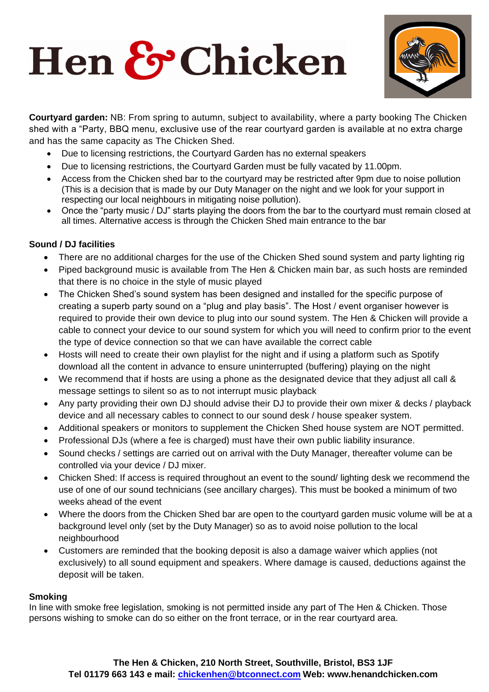# Hen & Chicken



**Courtyard garden:** NB: From spring to autumn, subject to availability, where a party booking The Chicken shed with a "Party, BBQ menu, exclusive use of the rear courtyard garden is available at no extra charge and has the same capacity as The Chicken Shed.

- Due to licensing restrictions, the Courtyard Garden has no external speakers
- Due to licensing restrictions, the Courtyard Garden must be fully vacated by 11.00pm.
- Access from the Chicken shed bar to the courtyard may be restricted after 9pm due to noise pollution (This is a decision that is made by our Duty Manager on the night and we look for your support in respecting our local neighbours in mitigating noise pollution).
- Once the "party music / DJ" starts playing the doors from the bar to the courtyard must remain closed at all times. Alternative access is through the Chicken Shed main entrance to the bar

#### **Sound / DJ facilities**

- There are no additional charges for the use of the Chicken Shed sound system and party lighting rig
- Piped background music is available from The Hen & Chicken main bar, as such hosts are reminded that there is no choice in the style of music played
- The Chicken Shed's sound system has been designed and installed for the specific purpose of creating a superb party sound on a "plug and play basis". The Host / event organiser however is required to provide their own device to plug into our sound system. The Hen & Chicken will provide a cable to connect your device to our sound system for which you will need to confirm prior to the event the type of device connection so that we can have available the correct cable
- Hosts will need to create their own playlist for the night and if using a platform such as Spotify download all the content in advance to ensure uninterrupted (buffering) playing on the night
- We recommend that if hosts are using a phone as the designated device that they adjust all call & message settings to silent so as to not interrupt music playback
- Any party providing their own DJ should advise their DJ to provide their own mixer & decks / playback device and all necessary cables to connect to our sound desk / house speaker system.
- Additional speakers or monitors to supplement the Chicken Shed house system are NOT permitted.
- Professional DJs (where a fee is charged) must have their own public liability insurance.
- Sound checks / settings are carried out on arrival with the Duty Manager, thereafter volume can be controlled via your device / DJ mixer.
- Chicken Shed: If access is required throughout an event to the sound/ lighting desk we recommend the use of one of our sound technicians (see ancillary charges). This must be booked a minimum of two weeks ahead of the event
- Where the doors from the Chicken Shed bar are open to the courtyard garden music volume will be at a background level only (set by the Duty Manager) so as to avoid noise pollution to the local neighbourhood
- Customers are reminded that the booking deposit is also a damage waiver which applies (not exclusively) to all sound equipment and speakers. Where damage is caused, deductions against the deposit will be taken.

#### **Smoking**

In line with smoke free legislation, smoking is not permitted inside any part of The Hen & Chicken. Those persons wishing to smoke can do so either on the front terrace, or in the rear courtyard area.